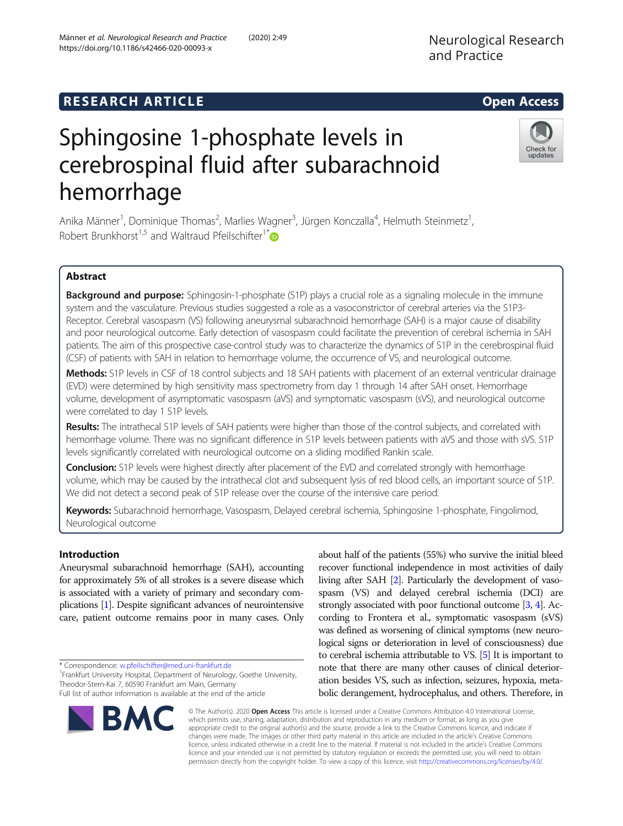# Sphingosine 1-phosphate levels in cerebrospinal fluid after subarachnoid hemorrhage

Anika Männer<sup>1</sup>, Dominique Thomas<sup>2</sup>, Marlies Wagner<sup>3</sup>, Jürgen Konczalla<sup>4</sup>, Helmuth Steinmetz<sup>1</sup> , Robert Brunkhorst<sup>1,5</sup> and Waltraud Pfeilschifter<sup>1\*</sup>

# Abstract

**Background and purpose:** Sphingosin-1-phosphate (S1P) plays a crucial role as a signaling molecule in the immune system and the vasculature. Previous studies suggested a role as a vasoconstrictor of cerebral arteries via the S1P3- Receptor. Cerebral vasospasm (VS) following aneurysmal subarachnoid hemorrhage (SAH) is a major cause of disability and poor neurological outcome. Early detection of vasospasm could facilitate the prevention of cerebral ischemia in SAH patients. The aim of this prospective case-control study was to characterize the dynamics of S1P in the cerebrospinal fluid (CSF) of patients with SAH in relation to hemorrhage volume, the occurrence of VS, and neurological outcome.

Methods: S1P levels in CSF of 18 control subjects and 18 SAH patients with placement of an external ventricular drainage (EVD) were determined by high sensitivity mass spectrometry from day 1 through 14 after SAH onset. Hemorrhage volume, development of asymptomatic vasospasm (aVS) and symptomatic vasospasm (sVS), and neurological outcome were correlated to day 1 S1P levels.

Results: The intrathecal S1P levels of SAH patients were higher than those of the control subjects, and correlated with hemorrhage volume. There was no significant difference in S1P levels between patients with aVS and those with sVS. S1P levels significantly correlated with neurological outcome on a sliding modified Rankin scale.

Conclusion: S1P levels were highest directly after placement of the EVD and correlated strongly with hemorrhage volume, which may be caused by the intrathecal clot and subsequent lysis of red blood cells, an important source of S1P. We did not detect a second peak of S1P release over the course of the intensive care period.

Keywords: Subarachnoid hemorrhage, Vasospasm, Delayed cerebral ischemia, Sphingosine 1-phosphate, Fingolimod, Neurological outcome

# Introduction

Aneurysmal subarachnoid hemorrhage (SAH), accounting for approximately 5% of all strokes is a severe disease which is associated with a variety of primary and secondary complications [\[1\]](#page-6-0). Despite significant advances of neurointensive care, patient outcome remains poor in many cases. Only

\* Correspondence: [w.pfeilschifter@med.uni-frankfurt.de](mailto:w.pfeilschifter@med.uni-frankfurt.de) <sup>1</sup>

**BMC** 

<sup>1</sup> Frankfurt University Hospital, Department of Neurology, Goethe University, Theodor-Stern-Kai 7, 60590 Frankfurt am Main, Germany

Full list of author information is available at the end of the article

living after SAH [\[2\]](#page-6-0). Particularly the development of vasospasm (VS) and delayed cerebral ischemia (DCI) are strongly associated with poor functional outcome [\[3](#page-6-0), [4](#page-6-0)]. According to Frontera et al., symptomatic vasospasm (sVS) was defined as worsening of clinical symptoms (new neurological signs or deterioration in level of consciousness) due to cerebral ischemia attributable to VS. [\[5](#page-6-0)] It is important to note that there are many other causes of clinical deterioration besides VS, such as infection, seizures, hypoxia, metabolic derangement, hydrocephalus, and others. Therefore, in

about half of the patients (55%) who survive the initial bleed recover functional independence in most activities of daily

© The Author(s). 2020 Open Access This article is licensed under a Creative Commons Attribution 4.0 International License, which permits use, sharing, adaptation, distribution and reproduction in any medium or format, as long as you give appropriate credit to the original author(s) and the source, provide a link to the Creative Commons licence, and indicate if changes were made. The images or other third party material in this article are included in the article's Creative Commons licence, unless indicated otherwise in a credit line to the material. If material is not included in the article's Creative Commons licence and your intended use is not permitted by statutory regulation or exceeds the permitted use, you will need to obtain permission directly from the copyright holder. To view a copy of this licence, visit [http://creativecommons.org/licenses/by/4.0/.](http://creativecommons.org/licenses/by/4.0/)

**RESEARCH ARTICLE Example 2014 12:30 The SEAR CH ACCESS** 



updates

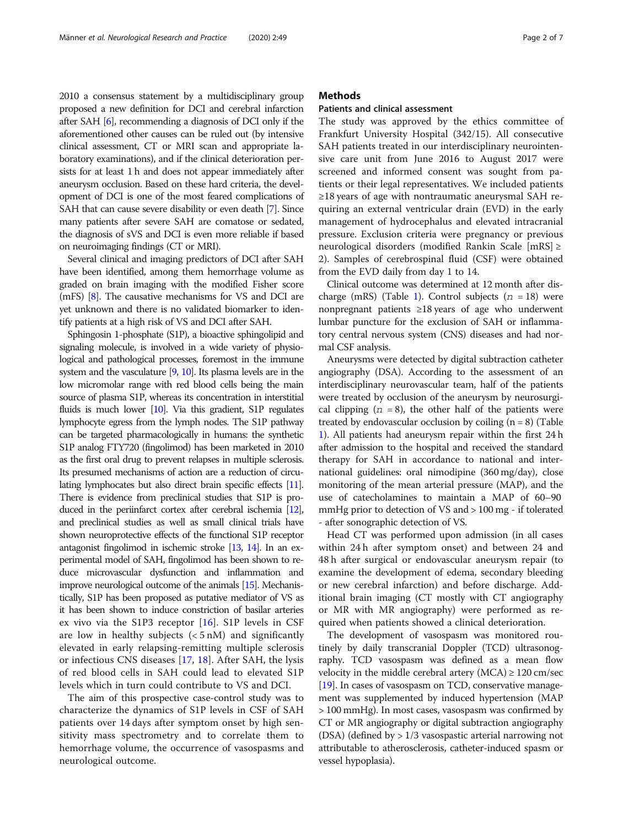2010 a consensus statement by a multidisciplinary group proposed a new definition for DCI and cerebral infarction after SAH [[6](#page-6-0)], recommending a diagnosis of DCI only if the aforementioned other causes can be ruled out (by intensive clinical assessment, CT or MRI scan and appropriate laboratory examinations), and if the clinical deterioration persists for at least 1 h and does not appear immediately after aneurysm occlusion. Based on these hard criteria, the development of DCI is one of the most feared complications of SAH that can cause severe disability or even death [\[7](#page-6-0)]. Since many patients after severe SAH are comatose or sedated, the diagnosis of sVS and DCI is even more reliable if based on neuroimaging findings (CT or MRI).

Several clinical and imaging predictors of DCI after SAH have been identified, among them hemorrhage volume as graded on brain imaging with the modified Fisher score (mFS) [\[8\]](#page-6-0). The causative mechanisms for VS and DCI are yet unknown and there is no validated biomarker to identify patients at a high risk of VS and DCI after SAH.

Sphingosin 1-phosphate (S1P), a bioactive sphingolipid and signaling molecule, is involved in a wide variety of physiological and pathological processes, foremost in the immune system and the vasculature [\[9,](#page-6-0) [10\]](#page-6-0). Its plasma levels are in the low micromolar range with red blood cells being the main source of plasma S1P, whereas its concentration in interstitial fluids is much lower [\[10\]](#page-6-0). Via this gradient, S1P regulates lymphocyte egress from the lymph nodes. The S1P pathway can be targeted pharmacologically in humans: the synthetic S1P analog FTY720 (fingolimod) has been marketed in 2010 as the first oral drug to prevent relapses in multiple sclerosis. Its presumed mechanisms of action are a reduction of circulating lymphocates but also direct brain specific effects [\[11\]](#page-6-0). There is evidence from preclinical studies that S1P is produced in the periinfarct cortex after cerebral ischemia [\[12\]](#page-6-0), and preclinical studies as well as small clinical trials have shown neuroprotective effects of the functional S1P receptor antagonist fingolimod in ischemic stroke [\[13](#page-6-0), [14](#page-6-0)]. In an experimental model of SAH, fingolimod has been shown to reduce microvascular dysfunction and inflammation and improve neurological outcome of the animals [\[15](#page-6-0)]. Mechanistically, S1P has been proposed as putative mediator of VS as it has been shown to induce constriction of basilar arteries ex vivo via the S1P3 receptor [[16\]](#page-6-0). S1P levels in CSF are low in healthy subjects  $(< 5 \text{ nM})$  and significantly elevated in early relapsing-remitting multiple sclerosis or infectious CNS diseases [[17,](#page-6-0) [18\]](#page-6-0). After SAH, the lysis of red blood cells in SAH could lead to elevated S1P levels which in turn could contribute to VS and DCI.

The aim of this prospective case-control study was to characterize the dynamics of S1P levels in CSF of SAH patients over 14 days after symptom onset by high sensitivity mass spectrometry and to correlate them to hemorrhage volume, the occurrence of vasospasms and neurological outcome.

## **Methods**

#### Patients and clinical assessment

The study was approved by the ethics committee of Frankfurt University Hospital (342/15). All consecutive SAH patients treated in our interdisciplinary neurointensive care unit from June 2016 to August 2017 were screened and informed consent was sought from patients or their legal representatives. We included patients  $\geq$ 18 years of age with nontraumatic aneurysmal SAH requiring an external ventricular drain (EVD) in the early management of hydrocephalus and elevated intracranial pressure. Exclusion criteria were pregnancy or previous neurological disorders (modified Rankin Scale [mRS] ≥ 2). Samples of cerebrospinal fluid (CSF) were obtained from the EVD daily from day 1 to 14.

Clinical outcome was determined at 12 month after dis-charge (mRS) (Table [1](#page-2-0)). Control subjects ( $n = 18$ ) were nonpregnant patients ≥18 years of age who underwent lumbar puncture for the exclusion of SAH or inflammatory central nervous system (CNS) diseases and had normal CSF analysis.

Aneurysms were detected by digital subtraction catheter angiography (DSA). According to the assessment of an interdisciplinary neurovascular team, half of the patients were treated by occlusion of the aneurysm by neurosurgical clipping  $(n = 8)$ , the other half of the patients were treated by endovascular occlusion by coiling  $(n = 8)$  (Table [1\)](#page-2-0). All patients had aneurysm repair within the first 24 h after admission to the hospital and received the standard therapy for SAH in accordance to national and international guidelines: oral nimodipine (360 mg/day), close monitoring of the mean arterial pressure (MAP), and the use of catecholamines to maintain a MAP of 60–90 mmHg prior to detection of VS and > 100 mg - if tolerated - after sonographic detection of VS.

Head CT was performed upon admission (in all cases within 24 h after symptom onset) and between 24 and 48 h after surgical or endovascular aneurysm repair (to examine the development of edema, secondary bleeding or new cerebral infarction) and before discharge. Additional brain imaging (CT mostly with CT angiography or MR with MR angiography) were performed as required when patients showed a clinical deterioration.

The development of vasospasm was monitored routinely by daily transcranial Doppler (TCD) ultrasonography. TCD vasospasm was defined as a mean flow velocity in the middle cerebral artery  $(MCA) \ge 120$  cm/sec [[19](#page-6-0)]. In cases of vasospasm on TCD, conservative management was supplemented by induced hypertension (MAP > 100 mmHg). In most cases, vasospasm was confirmed by CT or MR angiography or digital subtraction angiography (DSA) (defined by > 1/3 vasospastic arterial narrowing not attributable to atherosclerosis, catheter-induced spasm or vessel hypoplasia).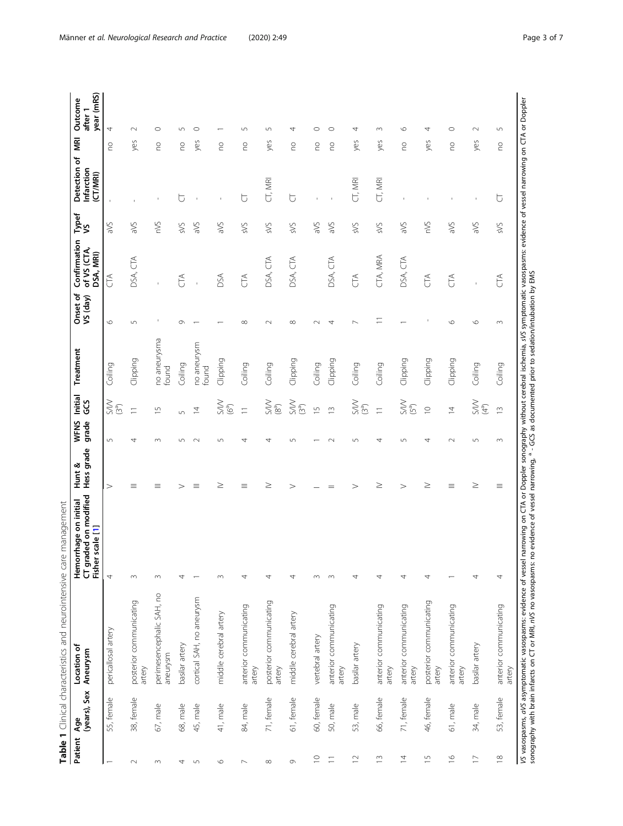<span id="page-2-0"></span>

|                          | (years), Sex<br>Age | Location of<br>Aneurysm               | CT graded on modified<br>Hemorrhage on initial<br>scale [1]<br>Fisher | Hess grade<br>Hunt & | WFNS<br>grade    | Initial<br>GCS                   | Treatment             | Onset of<br>VS (day) | Confirmation<br>of VS (CTA,<br>DSA, MRI) | Typef<br>VS | Detection of<br>Infarction<br>(CT/MRI) | g   | year (mRS)<br>Outcome<br>after 1 |
|--------------------------|---------------------|---------------------------------------|-----------------------------------------------------------------------|----------------------|------------------|----------------------------------|-----------------------|----------------------|------------------------------------------|-------------|----------------------------------------|-----|----------------------------------|
|                          | 55, female          | pericallosal artery                   | 4                                                                     | $\rm{>}$             | $\mathsf{L}\cap$ | $\frac{1}{(3^{a})}$              | Coiling               | $\circ$              | $\widetilde{\mathbb{G}}$                 | aVS         |                                        | S   | 4                                |
| $\sim$                   | 38, female          | posterior communicating<br>artery     | $\sim$                                                                | Ξ                    | 4                | Ξ                                | Clipping              | $\sqrt{ }$           | $\widetilde{\mathbb{E}}$<br>DSA,         | aVS         |                                        | yes | $\sim$                           |
| $\sim$                   | 67, male            | perimesencephalic SAH, no<br>aneurysm | $\sim$                                                                | Ξ                    | $\infty$         | $\overline{1}$                   | no aneurysma<br>found |                      |                                          | nVS         |                                        | S   | $\circ$                          |
| 4                        | 68, male            | basilar artery                        | 4                                                                     | $\rm{>}$             | $\sqrt{ }$       | 5                                | Coiling               | $\sigma$             | E                                        | <b>SVS</b>  | ∪                                      | S   | 5                                |
| $\sqrt{2}$               | 45, male            | cortical SAH, no aneurysm             |                                                                       | Ξ                    | $\sim$           | $\overline{4}$                   | no aneurysm<br>found  |                      |                                          | aVS         |                                        | yes | $\circ$                          |
| $\circ$                  | 41, male            | middle cerebral artery                | $\sim$                                                                | ≥                    | 5                | $\sum_{(6^{\circ})}$             | Clipping              |                      | DSA                                      | aVS         | $\mathbf{I}$                           | S   |                                  |
| $\overline{\phantom{0}}$ | 84, male            | anterior communicating<br>artery      | 4                                                                     | Ξ                    | 4                | $\equiv$                         | Coiling               | $\infty$             | E                                        | sVS         | $\overline{C}$                         | S   | 5                                |
| ${}^{\infty}$            | 71, female          | posterior communicating<br>artery     | 4                                                                     | ≥                    | 4                | $\sum_{(8^a)}$                   | Coiling               | $\sim$               | DSA, CTA                                 | sVS         | CT, MRI                                | yes | 5                                |
| $\circ$                  | 61, female          | middle cerebral artery                | 4                                                                     | $\, > \,$            | 5                | $\frac{SNN}{(3^{a})}$            | Clipping              | $\infty$             | DSA, CTA                                 | sVS         | Ⴆ                                      | S   | 4                                |
| $\supseteq$              | 60, female          | vertebral artery                      | $\sim$                                                                |                      |                  | $\overline{5}$                   | Coiling               |                      |                                          | aVS         |                                        | S   | C                                |
| $\equiv$                 | 50, male            | anterior communicating<br>artery      | $\sim$                                                                |                      | $\sim$           | $\tilde{=}$                      | Clipping              | ₹                    | DSA, CTA                                 | aVS         |                                        | S   | O                                |
| $\supseteq$              | 53, male            | basilar artery                        | 4                                                                     | $\rm{>}$             | $\sqrt{ }$       | $\sum_{(3^a)}$                   | Coiling               |                      | E                                        | sVS         | CT, MRI                                | yes | 4                                |
| $\tilde{\Xi}$            | 66, female          | anterior communicating<br>artery      | 4                                                                     | ≥                    | 4                | $\equiv$                         | Coiling               | Ξ                    | CTA, MRA                                 | SVS         | CT, MRI                                | yes | 3                                |
| $\overline{4}$           | 71, female          | anterior communicating<br>artery      | 4                                                                     | $\geq$               | $\sqrt{2}$       | $\frac{S}{(5^{\circ})}$          | Clipping              |                      | DSA, CTA                                 | aVS         |                                        | S   | $\circ$                          |
| $\overline{1}$           | 46, female          | posterior communicating<br>artery     | 4                                                                     | ≥                    | 4                | $\supseteq$                      | Clipping              |                      | E                                        | nVS         |                                        | yes | 4                                |
| $\frac{\infty}{\cdot}$   | 61, male            | anterior communicating<br>artery      |                                                                       | Ξ                    | $\sim$           | $\overline{4}$                   | Clipping              | $\circ$              | $C^{\uparrow}$                           | aVS         |                                        | S   | $\circ$                          |
| $\overline{\phantom{0}}$ | 34, male            | basilar artery                        | 4                                                                     | ≥                    | $\sqrt{ }$       | $\geqslant$<br>(4 <sup>5</sup> ) | Coiling               | $\circ$              |                                          | aVS         |                                        | yes | $\sim$                           |
| $\approx$                | 53, female          | anterior communicating<br>artery      | 4                                                                     | Ξ                    | 3                | $\tilde{=}$                      | Coiling               | $\sim$               | E                                        | sVS         | ᡛ                                      | S   | 5                                |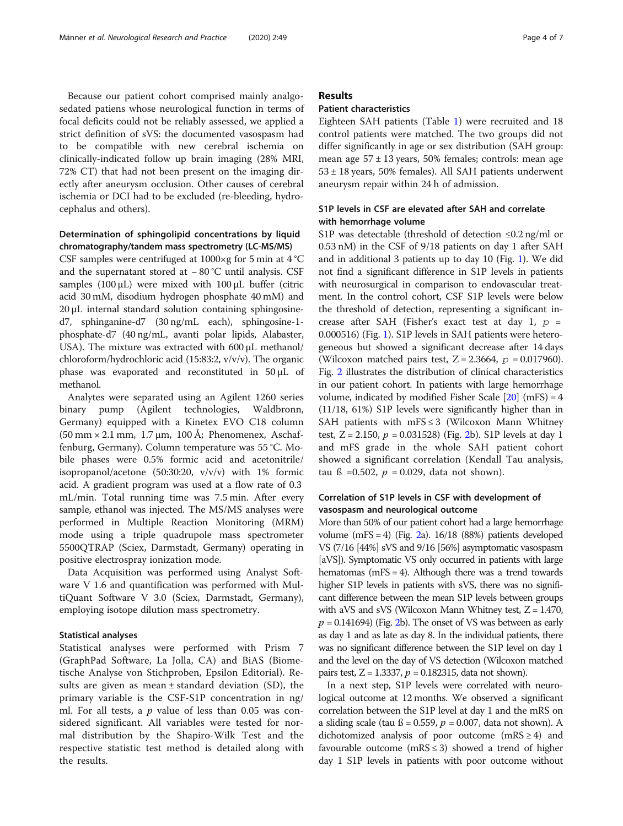Because our patient cohort comprised mainly analgosedated patiens whose neurological function in terms of focal deficits could not be reliably assessed, we applied a strict definition of sVS: the documented vasospasm had to be compatible with new cerebral ischemia on clinically-indicated follow up brain imaging (28% MRI, 72% CT) that had not been present on the imaging directly after aneurysm occlusion. Other causes of cerebral ischemia or DCI had to be excluded (re-bleeding, hydrocephalus and others).

# Determination of sphingolipid concentrations by liquid chromatography/tandem mass spectrometry (LC-MS/MS)

CSF samples were centrifuged at  $1000 \times g$  for 5 min at  $4^{\circ}$ C and the supernatant stored at − 80 °C until analysis. CSF samples (100 μL) were mixed with 100 μL buffer (citric acid 30 mM, disodium hydrogen phosphate 40 mM) and 20 μL internal standard solution containing sphingosined7, sphinganine-d7 (30 ng/mL each), sphingosine-1 phosphate-d7 (40 ng/mL, avanti polar lipids, Alabaster, USA). The mixture was extracted with 600 μL methanol/ chloroform/hydrochloric acid (15:83:2, v/v/v). The organic phase was evaporated and reconstituted in 50 μL of methanol.

Analytes were separated using an Agilent 1260 series binary pump (Agilent technologies, Waldbronn, Germany) equipped with a Kinetex EVO C18 column  $(50 \text{ mm} \times 2.1 \text{ mm}, 1.7 \text{ µm}, 100 \text{ Å}; \text{ Phenomenex}, \text{Aschaf}$ fenburg, Germany). Column temperature was 55 °C. Mobile phases were 0.5% formic acid and acetonitrile/ isopropanol/acetone (50:30:20, v/v/v) with 1% formic acid. A gradient program was used at a flow rate of 0.3 mL/min. Total running time was 7.5 min. After every sample, ethanol was injected. The MS/MS analyses were performed in Multiple Reaction Monitoring (MRM) mode using a triple quadrupole mass spectrometer 5500QTRAP (Sciex, Darmstadt, Germany) operating in positive electrospray ionization mode.

Data Acquisition was performed using Analyst Software V 1.6 and quantification was performed with MultiQuant Software V 3.0 (Sciex, Darmstadt, Germany), employing isotope dilution mass spectrometry.

#### Statistical analyses

Statistical analyses were performed with Prism 7 (GraphPad Software, La Jolla, CA) and BiAS (Biometische Analyse von Stichproben, Epsilon Editorial). Results are given as mean  $\pm$  standard deviation (SD), the primary variable is the CSF-S1P concentration in ng/ ml. For all tests, a  $p$  value of less than 0.05 was considered significant. All variables were tested for normal distribution by the Shapiro-Wilk Test and the respective statistic test method is detailed along with the results.

# Results

# Patient characteristics

Eighteen SAH patients (Table [1\)](#page-2-0) were recruited and 18 control patients were matched. The two groups did not differ significantly in age or sex distribution (SAH group: mean age  $57 \pm 13$  years, 50% females; controls: mean age  $53 \pm 18$  years, 50% females). All SAH patients underwent aneurysm repair within 24 h of admission.

# S1P levels in CSF are elevated after SAH and correlate with hemorrhage volume

S1P was detectable (threshold of detection  $\leq 0.2$  ng/ml or 0.53 nM) in the CSF of 9/18 patients on day 1 after SAH and in additional 3 patients up to day 10 (Fig. [1\)](#page-4-0). We did not find a significant difference in S1P levels in patients with neurosurgical in comparison to endovascular treatment. In the control cohort, CSF S1P levels were below the threshold of detection, representing a significant increase after SAH (Fisher's exact test at day 1,  $p =$ 0.000516) (Fig. [1](#page-4-0)). S1P levels in SAH patients were heterogeneous but showed a significant decrease after 14 days (Wilcoxon matched pairs test,  $Z = 2.3664$ ,  $p = 0.017960$ ). Fig. [2](#page-5-0) illustrates the distribution of clinical characteristics in our patient cohort. In patients with large hemorrhage volume, indicated by modified Fisher Scale  $[20]$  (mFS) = 4 (11/18, 61%) S1P levels were significantly higher than in SAH patients with mFS  $\leq$  3 (Wilcoxon Mann Whitney test,  $Z = 2.150$  $Z = 2.150$  $Z = 2.150$ ,  $p = 0.031528$  (Fig. 2b). S1P levels at day 1 and mFS grade in the whole SAH patient cohort showed a significant correlation (Kendall Tau analysis, tau ß = 0.502,  $p = 0.029$ , data not shown).

# Correlation of S1P levels in CSF with development of vasospasm and neurological outcome

More than 50% of our patient cohort had a large hemorrhage volume (mFS = 4) (Fig. [2a](#page-5-0)). 16/18 (88%) patients developed VS (7/16 [44%] sVS and 9/16 [56%] asymptomatic vasospasm [aVS]). Symptomatic VS only occurred in patients with large hematomas (mFS = 4). Although there was a trend towards higher S1P levels in patients with sVS, there was no significant difference between the mean S1P levels between groups with aVS and sVS (Wilcoxon Mann Whitney test,  $Z = 1.470$ ,  $p = 0.141694$ ) (Fig. [2](#page-5-0)b). The onset of VS was between as early as day 1 and as late as day 8. In the individual patients, there was no significant difference between the S1P level on day 1 and the level on the day of VS detection (Wilcoxon matched pairs test,  $Z = 1.3337$ ,  $p = 0.182315$ , data not shown).

In a next step, S1P levels were correlated with neurological outcome at 12 months. We observed a significant correlation between the S1P level at day 1 and the mRS on a sliding scale (tau  $\beta$  = 0.559,  $p$  = 0.007, data not shown). A dichotomized analysis of poor outcome  $(mRS \ge 4)$  and favourable outcome (mRS  $\leq$  3) showed a trend of higher day 1 S1P levels in patients with poor outcome without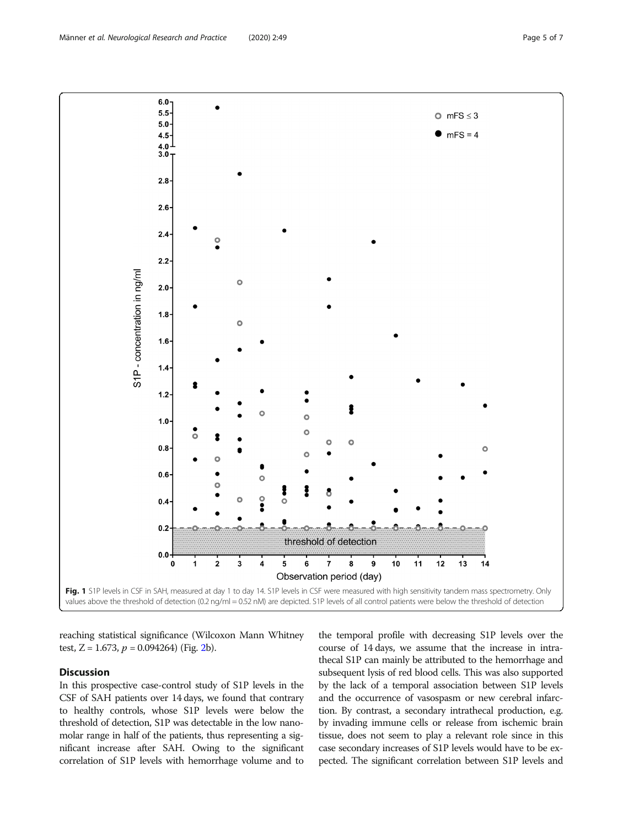reaching statistical significance (Wilcoxon Mann Whitney test, Z = 1.673,  $p = 0.094264$  (Fig. [2b](#page-5-0)).

# Discussion

In this prospective case-control study of S1P levels in the CSF of SAH patients over 14 days, we found that contrary to healthy controls, whose S1P levels were below the threshold of detection, S1P was detectable in the low nanomolar range in half of the patients, thus representing a significant increase after SAH. Owing to the significant correlation of S1P levels with hemorrhage volume and to

the temporal profile with decreasing S1P levels over the course of 14 days, we assume that the increase in intrathecal S1P can mainly be attributed to the hemorrhage and subsequent lysis of red blood cells. This was also supported by the lack of a temporal association between S1P levels and the occurrence of vasospasm or new cerebral infarction. By contrast, a secondary intrathecal production, e.g. by invading immune cells or release from ischemic brain tissue, does not seem to play a relevant role since in this case secondary increases of S1P levels would have to be expected. The significant correlation between S1P levels and

<span id="page-4-0"></span>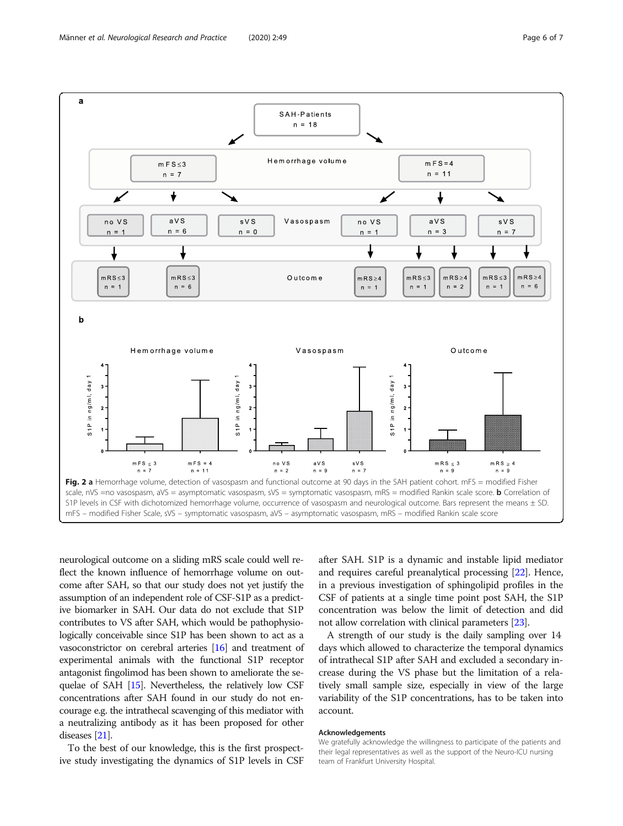<span id="page-5-0"></span>

neurological outcome on a sliding mRS scale could well reflect the known influence of hemorrhage volume on outcome after SAH, so that our study does not yet justify the assumption of an independent role of CSF-S1P as a predictive biomarker in SAH. Our data do not exclude that S1P contributes to VS after SAH, which would be pathophysiologically conceivable since S1P has been shown to act as a vasoconstrictor on cerebral arteries [\[16\]](#page-6-0) and treatment of experimental animals with the functional S1P receptor antagonist fingolimod has been shown to ameliorate the sequelae of SAH [[15](#page-6-0)]. Nevertheless, the relatively low CSF concentrations after SAH found in our study do not encourage e.g. the intrathecal scavenging of this mediator with a neutralizing antibody as it has been proposed for other diseases [\[21\]](#page-6-0).

To the best of our knowledge, this is the first prospective study investigating the dynamics of S1P levels in CSF

after SAH. S1P is a dynamic and instable lipid mediator and requires careful preanalytical processing [\[22\]](#page-6-0). Hence, in a previous investigation of sphingolipid profiles in the CSF of patients at a single time point post SAH, the S1P concentration was below the limit of detection and did not allow correlation with clinical parameters [[23](#page-6-0)].

A strength of our study is the daily sampling over 14 days which allowed to characterize the temporal dynamics of intrathecal S1P after SAH and excluded a secondary increase during the VS phase but the limitation of a relatively small sample size, especially in view of the large variability of the S1P concentrations, has to be taken into account.

#### Acknowledgements

We gratefully acknowledge the willingness to participate of the patients and their legal representatives as well as the support of the Neuro-ICU nursing team of Frankfurt University Hospital.